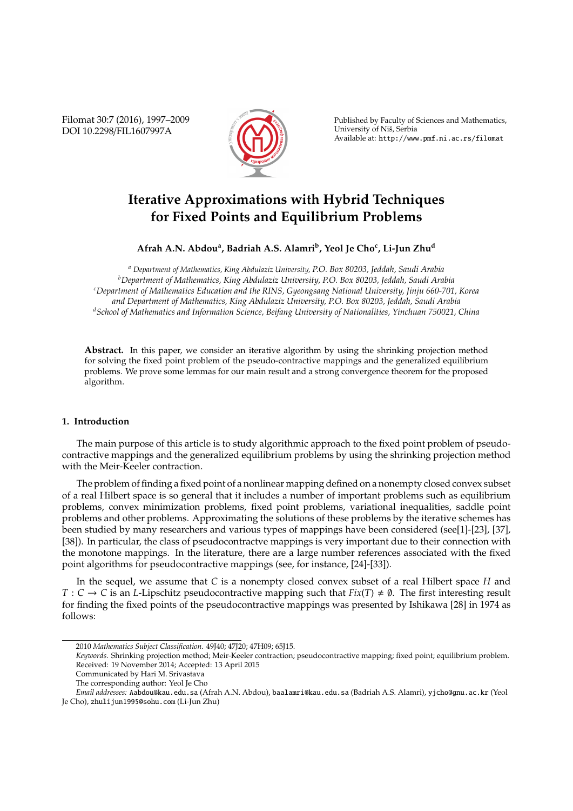Filomat 30:7 (2016), 1997–2009 DOI 10.2298/FIL1607997A



Published by Faculty of Sciences and Mathematics, University of Nis, Serbia ˇ Available at: http://www.pmf.ni.ac.rs/filomat

# **Iterative Approximations with Hybrid Techniques for Fixed Points and Equilibrium Problems**

## **Afrah A.N. Abdou<sup>a</sup> , Badriah A.S. Alamri<sup>b</sup> , Yeol Je Cho<sup>c</sup> , Li-Jun Zhu<sup>d</sup>**

*<sup>a</sup> Department of Mathematics, King Abdulaziz University, P.O. Box 80203, Jeddah, Saudi Arabia <sup>b</sup>Department of Mathematics, King Abdulaziz University, P.O. Box 80203, Jeddah, Saudi Arabia <sup>c</sup>Department of Mathematics Education and the RINS, Gyeongsang National University, Jinju 660-701, Korea and Department of Mathematics, King Abdulaziz University, P.O. Box 80203, Jeddah, Saudi Arabia <sup>d</sup>School of Mathematics and Information Science, Beifang University of Nationalities, Yinchuan 750021, China*

**Abstract.** In this paper, we consider an iterative algorithm by using the shrinking projection method for solving the fixed point problem of the pseudo-contractive mappings and the generalized equilibrium problems. We prove some lemmas for our main result and a strong convergence theorem for the proposed algorithm.

#### **1. Introduction**

The main purpose of this article is to study algorithmic approach to the fixed point problem of pseudocontractive mappings and the generalized equilibrium problems by using the shrinking projection method with the Meir-Keeler contraction.

The problem of finding a fixed point of a nonlinear mapping defined on a nonempty closed convex subset of a real Hilbert space is so general that it includes a number of important problems such as equilibrium problems, convex minimization problems, fixed point problems, variational inequalities, saddle point problems and other problems. Approximating the solutions of these problems by the iterative schemes has been studied by many researchers and various types of mappings have been considered (see[1]-[23], [37], [38]). In particular, the class of pseudocontractve mappings is very important due to their connection with the monotone mappings. In the literature, there are a large number references associated with the fixed point algorithms for pseudocontractive mappings (see, for instance, [24]-[33]).

In the sequel, we assume that *C* is a nonempty closed convex subset of a real Hilbert space *H* and *T* : *C* → *C* is an *L*-Lipschitz pseudocontractive mapping such that  $Fix(T) \neq \emptyset$ . The first interesting result for finding the fixed points of the pseudocontractive mappings was presented by Ishikawa [28] in 1974 as follows:

<sup>2010</sup> *Mathematics Subject Classification*. 49J40; 47J20; 47H09; 65J15.

*Keywords*. Shrinking projection method; Meir-Keeler contraction; pseudocontractive mapping; fixed point; equilibrium problem. Received: 19 November 2014; Accepted: 13 April 2015

Communicated by Hari M. Srivastava

The corresponding author: Yeol Je Cho

*Email addresses:* Aabdou@kau.edu.sa (Afrah A.N. Abdou), baalamri@kau.edu.sa (Badriah A.S. Alamri), yjcho@gnu.ac.kr (Yeol Je Cho), zhulijun1995@sohu.com (Li-Jun Zhu)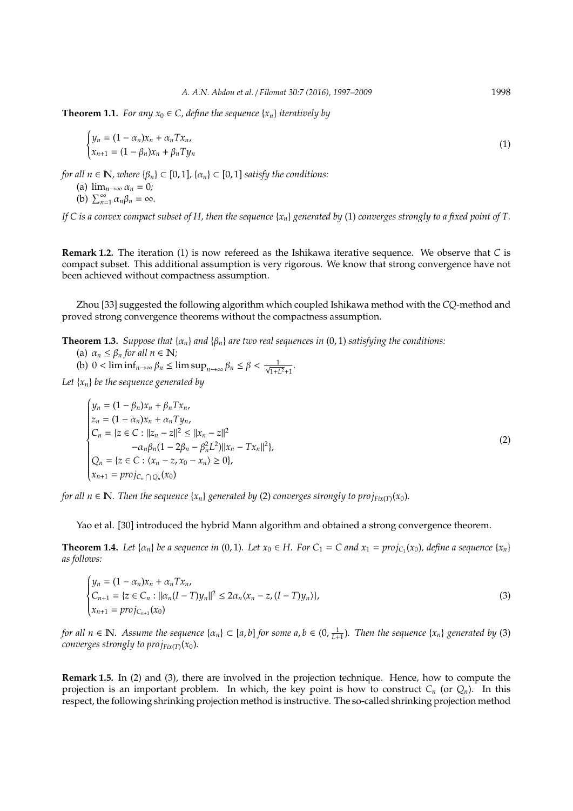**Theorem 1.1.** *For any*  $x_0 \in C$ , *define the sequence*  $\{x_n\}$  *iteratively by* 

$$
\begin{cases}\n y_n = (1 - \alpha_n)x_n + \alpha_n Tx_n, \\
 x_{n+1} = (1 - \beta_n)x_n + \beta_n Ty_n\n\end{cases}
$$
\n(1)

*for all n* ∈ **N***, where*  $\{\beta_n\} \subset [0, 1]$ *,*  $\{\alpha_n\} \subset [0, 1]$  *satisfy the conditions:* 

(a) 
$$
\lim_{n\to\infty} \alpha_n = 0;
$$

(b) 
$$
\sum_{n=1}^{\infty} \alpha_n \beta_n = \infty.
$$

*If C is a convex compact subset of H, then the sequence* {*xn*} *generated by* (1) *converges strongly to a fixed point of T.*

**Remark 1.2.** The iteration (1) is now refereed as the Ishikawa iterative sequence. We observe that *C* is compact subset. This additional assumption is very rigorous. We know that strong convergence have not been achieved without compactness assumption.

Zhou [33] suggested the following algorithm which coupled Ishikawa method with the *CQ*-method and proved strong convergence theorems without the compactness assumption.

**Theorem 1.3.** *Suppose that*  $\{\alpha_n\}$  *and*  $\{\beta_n\}$  *are two real sequences in* (0, 1) *satisfying the conditions:* 

(a)  $\alpha_n \leq \beta_n$  *for all*  $n \in \mathbb{N}$ *;* 

(b) 
$$
0 < \liminf_{n \to \infty} \beta_n \le \limsup_{n \to \infty} \beta_n \le \beta < \frac{1}{\sqrt{1 + L^2} + 1}
$$
.

*Let* {*xn*} *be the sequence generated by*

$$
\begin{cases}\ny_n = (1 - \beta_n)x_n + \beta_n Tx_n, \\
z_n = (1 - \alpha_n)x_n + \alpha_n Ty_n, \\
C_n = \{z \in C : ||z_n - z||^2 \le ||x_n - z||^2 \\
-\alpha_n \beta_n (1 - 2\beta_n - \beta_n^2 L^2) ||x_n - Tx_n||^2\}, \\
Q_n = \{z \in C : \langle x_n - z, x_0 - x_n \rangle \ge 0\}, \\
x_{n+1} = \text{proj}_{C_n \cap Q_n}(x_0)\n\end{cases}
$$
\n(2)

*for all*  $n \in \mathbb{N}$ *. Then the sequence*  $\{x_n\}$  *generated by* (2) *converges strongly to pro* $j_{Fix(T)}(x_0)$ *.* 

Yao et al. [30] introduced the hybrid Mann algorithm and obtained a strong convergence theorem.

**Theorem 1.4.** Let  $\{\alpha_n\}$  be a sequence in (0, 1). Let  $x_0 \in H$ . For  $C_1 = C$  and  $x_1 = proj_{C_1}(x_0)$ , define a sequence  $\{x_n\}$ *as follows:*

$$
\begin{cases}\ny_n = (1 - \alpha_n)x_n + \alpha_n T x_n, \\
C_{n+1} = \{z \in C_n : ||\alpha_n (I - T) y_n||^2 \le 2\alpha_n \langle x_n - z, (I - T) y_n \rangle\}, \\
x_{n+1} = \text{proj}_{C_{n+1}}(x_0)\n\end{cases} \tag{3}
$$

*for all*  $n \in \mathbb{N}$ . Assume the sequence  $\{\alpha_n\} \subset [a, b]$  for some  $a, b \in (0, \frac{1}{L+1})$ . Then the sequence  $\{x_n\}$  generated by (3) *converges strongly to proj* $F_{fix(T)}(x_0)$ *.* 

**Remark 1.5.** In (2) and (3), there are involved in the projection technique. Hence, how to compute the projection is an important problem. In which, the key point is how to construct  $C_n$  (or  $Q_n$ ). In this respect, the following shrinking projection method is instructive. The so-called shrinking projection method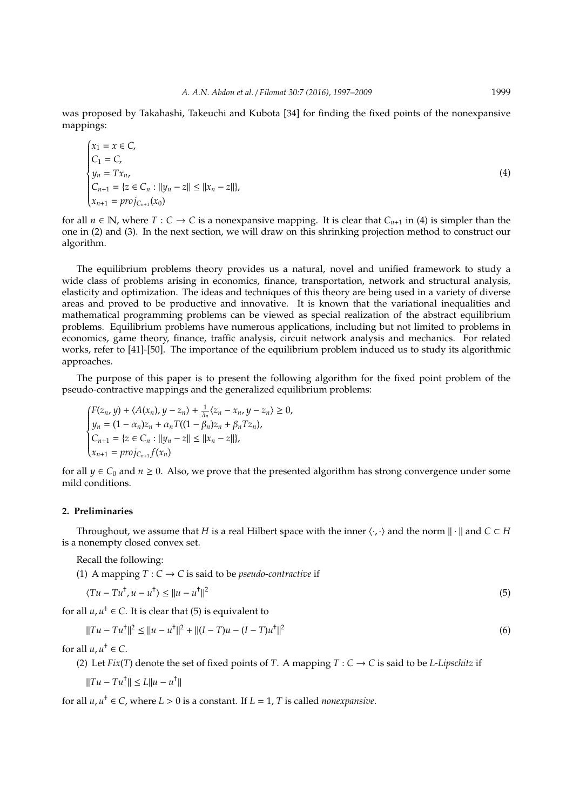was proposed by Takahashi, Takeuchi and Kubota [34] for finding the fixed points of the nonexpansive mappings:

$$
\begin{cases}\nx_1 = x \in C, \\
C_1 = C, \\
y_n = Tx_n, \\
C_{n+1} = \{z \in C_n : ||y_n - z|| \le ||x_n - z||\}, \\
x_{n+1} = \text{proj}_{C_{n+1}}(x_0)\n\end{cases} \tag{4}
$$

for all  $n \in \mathbb{N}$ , where  $T : C \to C$  is a nonexpansive mapping. It is clear that  $C_{n+1}$  in (4) is simpler than the one in (2) and (3). In the next section, we will draw on this shrinking projection method to construct our algorithm.

The equilibrium problems theory provides us a natural, novel and unified framework to study a wide class of problems arising in economics, finance, transportation, network and structural analysis, elasticity and optimization. The ideas and techniques of this theory are being used in a variety of diverse areas and proved to be productive and innovative. It is known that the variational inequalities and mathematical programming problems can be viewed as special realization of the abstract equilibrium problems. Equilibrium problems have numerous applications, including but not limited to problems in economics, game theory, finance, traffic analysis, circuit network analysis and mechanics. For related works, refer to [41]-[50]. The importance of the equilibrium problem induced us to study its algorithmic approaches.

The purpose of this paper is to present the following algorithm for the fixed point problem of the pseudo-contractive mappings and the generalized equilibrium problems:

$$
\begin{cases}\nF(z_n, y) + \langle A(x_n), y - z_n \rangle + \frac{1}{\lambda_n} \langle z_n - x_n, y - z_n \rangle \ge 0, \\
y_n = (1 - \alpha_n) z_n + \alpha_n T((1 - \beta_n) z_n + \beta_n T z_n), \\
C_{n+1} = \{ z \in C_n : ||y_n - z|| \le ||x_n - z|| \}, \\
x_{n+1} = \text{proj}_{C_{n+1}} f(x_n)\n\end{cases}
$$

for all  $y \in C_0$  and  $n \ge 0$ . Also, we prove that the presented algorithm has strong convergence under some mild conditions.

### **2. Preliminaries**

Throughout, we assume that *H* is a real Hilbert space with the inner  $\langle \cdot, \cdot \rangle$  and the norm  $\| \cdot \|$  and  $C \subset H$ is a nonempty closed convex set.

Recall the following:

(1) A mapping  $T : C \to C$  is said to be *pseudo-contractive* if

$$
\langle Tu - Tu^{\dagger}, u - u^{\dagger} \rangle \le ||u - u^{\dagger}||^2 \tag{5}
$$

for all  $u, u^{\dagger} \in C$ . It is clear that (5) is equivalent to

$$
||Tu - Tu^{+}||^{2} \le ||u - u^{+}||^{2} + ||(I - T)u - (I - T)u^{+}||^{2}
$$
\n(6)

for all  $u, u^{\dagger} \in C$ .

(2) Let *Fix*(*T*) denote the set of fixed points of *T*. A mapping  $T : C \rightarrow C$  is said to be *L-Lipschitz* if

$$
||Tu - Tu^{\dagger}|| \le L||u - u^{\dagger}||
$$

for all  $u, u^{\dagger} \in C$ , where  $L > 0$  is a constant. If  $L = 1$ , *T* is called *nonexpansive*.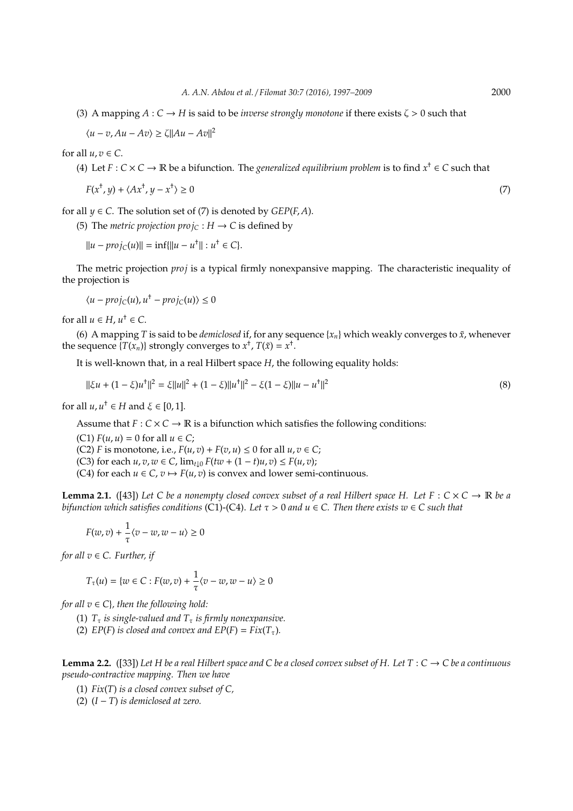(3) A mapping  $A: C \to H$  is said to be *inverse strongly monotone* if there exists  $\zeta > 0$  such that

 $\langle u - v, Au - Av \rangle \ge \zeta ||Au - Av||^2$ 

for all  $u, v \in C$ .

(4) Let *F* : *C* × *C* → **R** be a bifunction. The *generalized equilibrium problem* is to find  $x^{\dagger}$  ∈ *C* such that

$$
F(x^{\dagger}, y) + \langle Ax^{\dagger}, y - x^{\dagger} \rangle \ge 0 \tag{7}
$$

for all  $y \in C$ . The solution set of (7) is denoted by  $GEP(F, A)$ .

(5) The *metric projection proj*<sub>*C*</sub> :  $H \rightarrow C$  is defined by

 $||u - proj_C(u)|| = inf{||u - u<sup>†</sup>|| : u<sup>†</sup> ∈ C}.$ 

The metric projection *proj* is a typical firmly nonexpansive mapping. The characteristic inequality of the projection is

 $\langle u - \text{proj}_C(u), u^+ - \text{proj}_C(u) \rangle \le 0$ 

for all  $u \in H$ ,  $u^{\dagger} \in C$ .

(6) A mapping *T* is said to be *demiclosed* if, for any sequence  $\{x_n\}$  which weakly converges to  $\tilde{x}$ , whenever the sequence  $\{T(x_n)\}$  strongly converges to  $x^{\dagger}$ ,  $T(\tilde{x}) = x^{\dagger}$ .

It is well-known that, in a real Hilbert space *H*, the following equality holds:

$$
\|\xi u + (1 - \xi)u^+\|^2 = \xi \|u\|^2 + (1 - \xi) \|u^+\|^2 - \xi (1 - \xi) \|u - u^+\|^2
$$
\n(8)

for all  $u, u^{\dagger} \in H$  and  $\xi \in [0, 1]$ .

Assume that  $F: C \times C \to \mathbb{R}$  is a bifunction which satisfies the following conditions:

 $(C1) F(u, u) = 0$  for all  $u \in C$ ;

(C2) *F* is monotone, i.e.,  $F(u, v) + F(v, u) \leq 0$  for all  $u, v \in C$ ;

(C3) for each  $u, v, w \in C$ ,  $\lim_{t \downarrow 0} F(tw + (1 - t)u, v) \leq F(u, v)$ ;

(C4) for each  $u \in C$ ,  $v \mapsto F(u, v)$  is convex and lower semi-continuous.

**Lemma 2.1.** ([43]) Let C be a nonempty closed convex subset of a real Hilbert space H. Let  $F : C \times C \to \mathbb{R}$  be a *bifunction which satisfies conditions* (C1)-(C4). *Let* τ > 0 *and u* ∈ *C. Then there exists w* ∈ *C such that*

$$
F(w,v)+\frac{1}{\tau}\langle v-w,w-u\rangle\geq 0
$$

*for all*  $v \in C$ *. Further, if* 

$$
T_{\tau}(u) = \{w \in C : F(w, v) + \frac{1}{\tau} \langle v - w, w - u \rangle \ge 0
$$

*for all*  $v \in C$ *}, then the following hold:* 

(1)  $T<sub>\tau</sub>$  *is single-valued and*  $T<sub>\tau</sub>$  *is firmly nonexpansive.* 

(2) *EP(F) is closed and convex and*  $EP(F) = Fix(T_\tau)$ *.* 

**Lemma 2.2.** ([33]) Let H be a real Hilbert space and C be a closed convex subset of H. Let  $T: C \to C$  be a continuous *pseudo-contractive mapping. Then we have*

- (1) *Fix*(*T*) *is a closed convex subset of C,*
- (2) (*I* − *T*) *is demiclosed at zero.*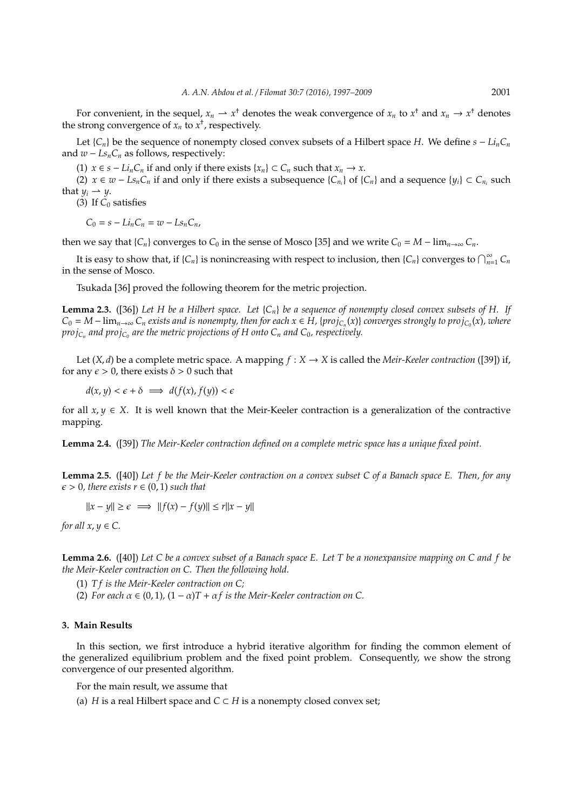For convenient, in the sequel,  $x_n \rightharpoonup x^+$  denotes the weak convergence of  $x_n$  to  $x^+$  and  $x_n \rightharpoonup x^+$  denotes the strong convergence of  $x_n$  to  $x^{\dagger}$ , respectively.

Let  ${C_n}$  be the sequence of nonempty closed convex subsets of a Hilbert space *H*. We define  $s - Li_nC_n$ and  $w - Ls<sub>n</sub>C<sub>n</sub>$  as follows, respectively:

(1) *x* ∈ *s* − *Li*<sub>*n*</sub></sub>C<sub>*n*</sub> if and only if there exists { $x_n$ } ⊂  $C_n$  such that  $x_n \to x$ .

(2)  $x \in w - Ls_nC_n$  if and only if there exists a subsequence  $\{C_{n_i}\}$  of  $\{C_n\}$  and a sequence  $\{y_i\} \subset C_{n_i}$  such that  $y_i \rightarrow y$ .

(3) If  $C_0$  satisfies

$$
C_0 = s - Li_n C_n = w - Ls_n C_n,
$$

then we say that {*C<sub>n</sub>*} converges to *C*<sub>0</sub> in the sense of Mosco [35] and we write *C*<sub>0</sub> = *M* − lim<sub>*n*→∞</sub> *C<sub>n</sub>*.

It is easy to show that, if  $\{C_n\}$  is nonincreasing with respect to inclusion, then  $\{C_n\}$  converges to  $\bigcap_{n=1}^{\infty} C_n$ in the sense of Mosco.

Tsukada [36] proved the following theorem for the metric projection.

**Lemma 2.3.** ([36]) *Let H be a Hilbert space. Let* {*Cn*} *be a sequence of nonempty closed convex subsets of H. If*  $C_0 = M - \lim_{n\to\infty} C_n$  *exists and is nonempty, then for each*  $x \in H$ *, {proj<sub><i>C<sub>n</sub>*</sub>(*x*)} *converges strongly to proj<sub>C<sub>0</sub></sub>(<i>x*)*, where projC<sup>n</sup> and projC*<sup>0</sup> *are the metric projections of H onto C<sup>n</sup> and C*0*, respectively.*

Let  $(X, d)$  be a complete metric space. A mapping  $f : X \to X$  is called the *Meir-Keeler contraction* ([39]) if, for any  $\epsilon > 0$ , there exists  $\delta > 0$  such that

 $d(x, y) < \epsilon + \delta \implies d(f(x), f(y)) < \epsilon$ 

for all  $x, y \in X$ . It is well known that the Meir-Keeler contraction is a generalization of the contractive mapping.

**Lemma 2.4.** ([39]) *The Meir-Keeler contraction defined on a complete metric space has a unique fixed point.*

**Lemma 2.5.** ([40]) *Let f be the Meir-Keeler contraction on a convex subset C of a Banach space E. Then, for any*  $\epsilon > 0$ , there exists  $r \in (0, 1)$  *such that* 

 $||x - y|| \ge \epsilon \implies ||f(x) - f(y)|| \le r||x - y||$ 

*for all*  $x, y \in C$ *.* 

**Lemma 2.6.** ([40]) *Let C be a convex subset of a Banach space E. Let T be a nonexpansive mapping on C and f be the Meir-Keeler contraction on C. Then the following hold.*

(1) *T f is the Meir-Keeler contraction on C;*

(2) *For each*  $\alpha \in (0,1)$ ,  $(1-\alpha)T + \alpha f$  *is the Meir-Keeler contraction on C.* 

#### **3. Main Results**

In this section, we first introduce a hybrid iterative algorithm for finding the common element of the generalized equilibrium problem and the fixed point problem. Consequently, we show the strong convergence of our presented algorithm.

For the main result, we assume that

(a) *H* is a real Hilbert space and  $C \subset H$  is a nonempty closed convex set;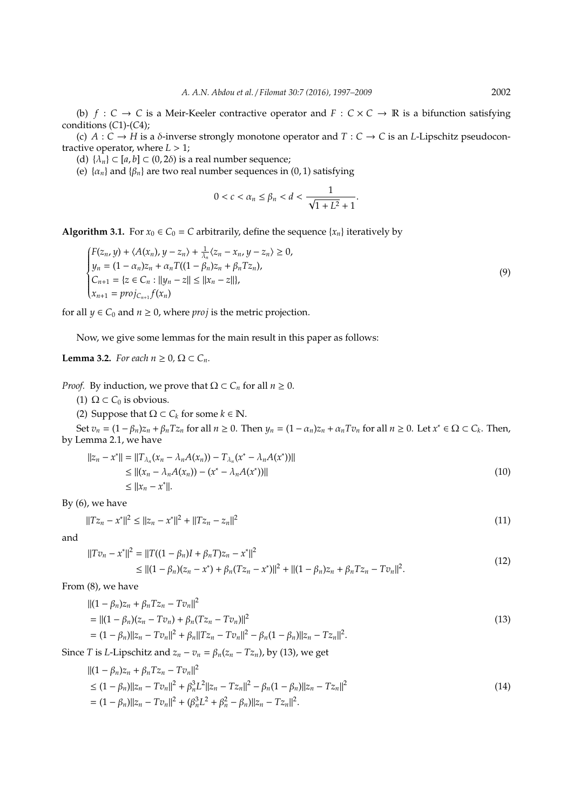(b)  $f: C \to C$  is a Meir-Keeler contractive operator and  $F: C \times C \to \mathbb{R}$  is a bifunction satisfying conditions (*C*1)-(*C*4);

(c)  $A: C \to H$  is a  $\delta$ -inverse strongly monotone operator and  $T: C \to C$  is an *L*-Lipschitz pseudocontractive operator, where  $L > 1$ ;

(d)  $\{\lambda_n\} \subset [a, b] \subset (0, 2\delta)$  is a real number sequence;

(e)  $\{\alpha_n\}$  and  $\{\beta_n\}$  are two real number sequences in (0, 1) satisfying

$$
0 < c < \alpha_n \le \beta_n < d < \frac{1}{\sqrt{1 + L^2} + 1}.
$$

**Algorithm 3.1.** For  $x_0 \in C_0 = C$  arbitrarily, define the sequence  $\{x_n\}$  iteratively by

$$
\begin{cases}\nF(z_n, y) + \langle A(x_n), y - z_n \rangle + \frac{1}{\lambda_n} \langle z_n - x_n, y - z_n \rangle \ge 0, \\
y_n = (1 - \alpha_n) z_n + \alpha_n T((1 - \beta_n) z_n + \beta_n T z_n), \\
C_{n+1} = \{ z \in C_n : ||y_n - z|| \le ||x_n - z|| \}, \\
x_{n+1} = \text{proj}_{C_{n+1}} f(x_n)\n\end{cases} \tag{9}
$$

for all  $y \in C_0$  and  $n \ge 0$ , where *proj* is the metric projection.

Now, we give some lemmas for the main result in this paper as follows:

## **Lemma 3.2.** *For each*  $n \geq 0$ ,  $\Omega \subset C_n$ *.*

*Proof.* By induction, we prove that 
$$
\Omega \subset C_n
$$
 for all  $n \ge 0$ .

(1)  $\Omega \subset C_0$  is obvious.

(2) Suppose that  $\Omega \subset C_k$  for some  $k \in \mathbb{N}$ .

Set  $v_n = (1 - \beta_n)z_n + \beta_n Tz_n$  for all  $n \ge 0$ . Then  $y_n = (1 - \alpha_n)z_n + \alpha_n Tv_n$  for all  $n \ge 0$ . Let  $x^* \in \Omega \subset C_k$ . Then, by Lemma 2.1, we have

$$
||z_n - x^*|| = ||T_{\lambda_n}(x_n - \lambda_n A(x_n)) - T_{\lambda_n}(x^* - \lambda_n A(x^*))||
$$
  
\n
$$
\leq ||(x_n - \lambda_n A(x_n)) - (x^* - \lambda_n A(x^*))||
$$
  
\n
$$
\leq ||x_n - x^*||.
$$
\n(10)

By (6), we have

$$
||Tz_n - x^*||^2 \le ||z_n - x^*||^2 + ||Tz_n - z_n||^2 \tag{11}
$$

and

$$
||Tv_n - x^*||^2 = ||T((1 - \beta_n)I + \beta_n T)z_n - x^*||^2
$$
  
\n
$$
\leq ||(1 - \beta_n)(z_n - x^*) + \beta_n(Tz_n - x^*)||^2 + ||(1 - \beta_n)z_n + \beta_n Tz_n - Tv_n||^2.
$$
\n(12)

From (8), we have

$$
\begin{aligned} &\| (1 - \beta_n) z_n + \beta_n T z_n - T v_n \|^2 \\ &= \| (1 - \beta_n) (z_n - T v_n) + \beta_n (T z_n - T v_n) \|^2 \\ &= (1 - \beta_n) \| z_n - T v_n \|^2 + \beta_n \| T z_n - T v_n \|^2 - \beta_n (1 - \beta_n) \| z_n - T z_n \|^2. \end{aligned} \tag{13}
$$

Since *T* is *L*-Lipschitz and  $z_n - v_n = \beta_n(z_n - Tz_n)$ , by (13), we get

$$
\begin{aligned} &\| |(1 - \beta_n)z_n + \beta_n T z_n - T v_n\|^2 \\ &\le (1 - \beta_n) \|z_n - T v_n\|^2 + \beta_n^3 L^2 \|z_n - T z_n\|^2 - \beta_n (1 - \beta_n) \|z_n - T z_n\|^2 \\ &= (1 - \beta_n) \|z_n - T v_n\|^2 + (\beta_n^3 L^2 + \beta_n^2 - \beta_n) \|z_n - T z_n\|^2. \end{aligned} \tag{14}
$$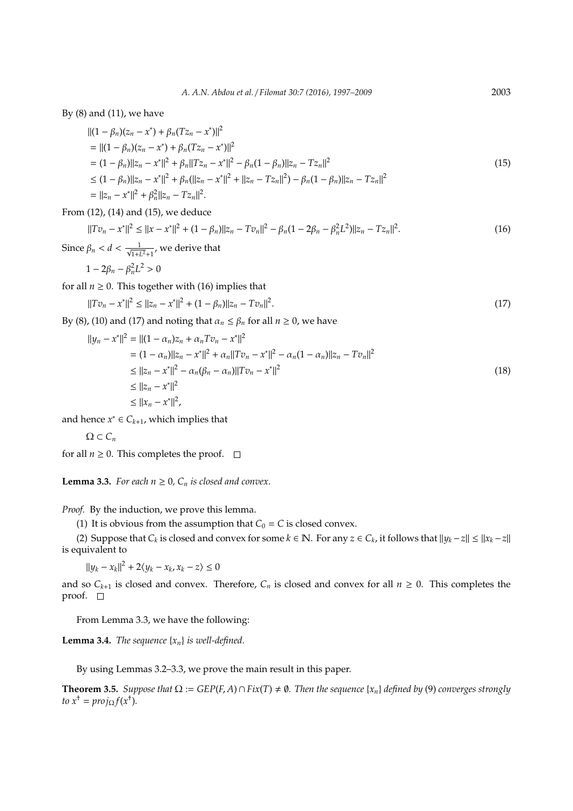By  $(8)$  and  $(11)$ , we have

$$
\begin{aligned}\n&\| (1 - \beta_n)(z_n - x^*) + \beta_n (Tz_n - x^*) \|^2 \\
&= \| (1 - \beta_n)(z_n - x^*) + \beta_n (Tz_n - x^*) \|^2 \\
&= (1 - \beta_n) \| z_n - x^* \|^2 + \beta_n \| Tz_n - x^* \|^2 - \beta_n (1 - \beta_n) \| z_n - Tz_n \|^2 \\
&\le (1 - \beta_n) \| z_n - x^* \|^2 + \beta_n ( \| z_n - x^* \|^2 + \| z_n - Tz_n \|^2 ) - \beta_n (1 - \beta_n) \| z_n - Tz_n \|^2 \\
&= \| z_n - x^* \|^2 + \beta_n^2 \| z_n - Tz_n \|^2.\n\end{aligned}
$$
\n(15)

From (12), (14) and (15), we deduce

$$
||Tv_n - x^*||^2 \le ||x - x^*||^2 + (1 - \beta_n)||z_n - Tv_n||^2 - \beta_n(1 - 2\beta_n - \beta_n^2 L^2)||z_n - Tz_n||^2.
$$
\n(16)

Since  $\beta_n < d < \frac{1}{\sqrt{1+d}}$  $\frac{1}{1+L^2+1}$ , we derive that

$$
1-2\beta_n-\beta_n^2L^2>0
$$

for all  $n \geq 0$ . This together with (16) implies that

$$
||Tv_n - x^*||^2 \le ||z_n - x^*||^2 + (1 - \beta_n)||z_n - Tv_n||^2.
$$
\n(17)

By (8), (10) and (17) and noting that  $\alpha_n \leq \beta_n$  for all  $n \geq 0$ , we have

$$
||y_n - x^*||^2 = ||(1 - \alpha_n)z_n + \alpha_n T v_n - x^*||^2
$$
  
=  $(1 - \alpha_n)||z_n - x^*||^2 + \alpha_n ||T v_n - x^*||^2 - \alpha_n (1 - \alpha_n)||z_n - T v_n||^2$   
 $\le ||z_n - x^*||^2 - \alpha_n (\beta_n - \alpha_n)||T v_n - x^*||^2$   
 $\le ||z_n - x^*||^2$   
 $\le ||x_n - x^*||^2$ , (18)

and hence  $x^* \in C_{k+1}$ , which implies that

Ω ⊂ *C<sup>n</sup>*

**Lemma 3.3.** *For each*  $n \geq 0$ ,  $C_n$  *is closed and convex.* 

*Proof.* By the induction, we prove this lemma.

(1) It is obvious from the assumption that  $C_0 = C$  is closed convex.

(2) Suppose that  $C_k$  is closed and convex for some  $k \in \mathbb{N}$ . For any  $z \in C_k$ , it follows that  $||y_k - z|| \le ||x_k - z||$ is equivalent to

 $||y_k - x_k||^2 + 2\langle y_k - x_k, x_k - z \rangle \leq 0$ 

and so  $C_{k+1}$  is closed and convex. Therefore,  $C_n$  is closed and convex for all  $n \ge 0$ . This completes the proof.  $\square$ 

From Lemma 3.3, we have the following:

**Lemma 3.4.** *The sequence*  $\{x_n\}$  *is well-defined.* 

By using Lemmas 3.2–3.3, we prove the main result in this paper.

**Theorem 3.5.** *Suppose that*  $\Omega := GEP(F, A) \cap Fix(T) \neq \emptyset$ . *Then the sequence* {*x<sub>n</sub>*} *defined by* (9) *converges strongly to*  $x^{\dagger} = proj_{\Omega}f(x^{\dagger})$ *.* 

for all  $n \geq 0$ . This completes the proof.  $\Box$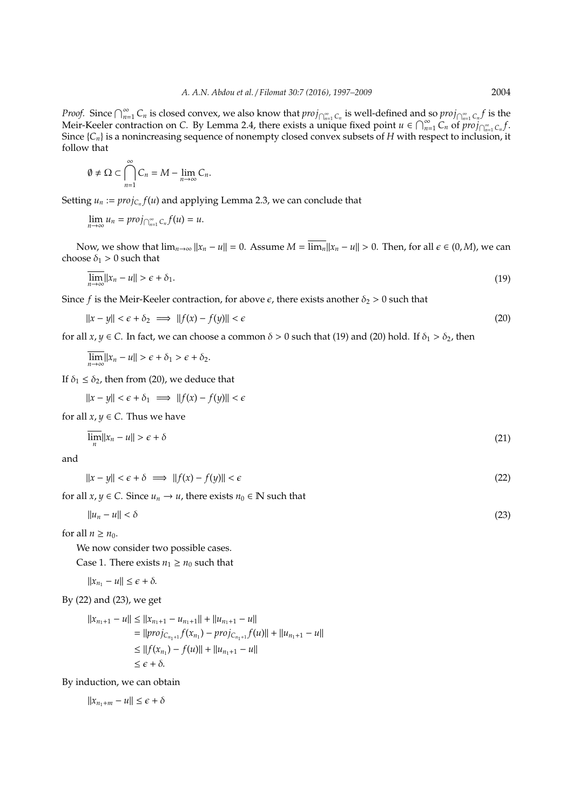*Proof.* Since  $\bigcap_{n=1}^{\infty} C_n$  is closed convex, we also know that  $proj_{\bigcap_{n=1}^{\infty} C_n}$  is well-defined and so  $proj_{\bigcap_{n=1}^{\infty} C_n} f$  is the Meir-Keeler contraction on *C*. By Lemma 2.4, there exists a unique fixed point  $u \in \bigcap_{n=1}^{\infty} C_n$  of  $proj_{\bigcap_{n=1}^{\infty} C_n} f$ . Since {*Cn*} is a nonincreasing sequence of nonempty closed convex subsets of *H* with respect to inclusion, it follow that

$$
\emptyset \neq \Omega \subset \bigcap_{n=1}^{\infty} C_n = M - \lim_{n \to \infty} C_n.
$$

Setting  $u_n := \text{proj}_{C_n} f(u)$  and applying Lemma 2.3, we can conclude that

$$
\lim_{n\to\infty}u_n=proj_{\bigcap_{n=1}^\infty C_n}f(u)=u.
$$

Now, we show that  $\lim_{n\to\infty} ||x_n - u|| = 0$ . Assume  $M = \lim_{n} ||x_n - u|| > 0$ . Then, for all  $\epsilon \in (0, M)$ , we can choose  $\delta_1 > 0$  such that

$$
\overline{\lim}_{n\to\infty}||x_n-u||>\epsilon+\delta_1.
$$
\n(19)

Since *f* is the Meir-Keeler contraction, for above  $\epsilon$ , there exists another  $\delta_2 > 0$  such that

$$
||x - y|| < \epsilon + \delta_2 \implies ||f(x) - f(y)|| < \epsilon \tag{20}
$$

for all *x*, *y*  $\in$  *C*. In fact, we can choose a common  $\delta$  > 0 such that (19) and (20) hold. If  $\delta$ <sub>1</sub> >  $\delta$ <sub>2</sub>, then

 $\overline{\lim}_{n\to\infty}||x_n-u||>\epsilon+\delta_1>\epsilon+\delta_2.$ 

If  $\delta_1 \leq \delta_2$ , then from (20), we deduce that

$$
||x - y|| < \epsilon + \delta_1 \implies ||f(x) - f(y)|| < \epsilon
$$

for all  $x, y \in C$ . Thus we have

$$
\overline{\lim_{n}} \|x_{n} - u\| > \epsilon + \delta
$$
\n(21)

and

$$
||x - y|| < \epsilon + \delta \implies ||f(x) - f(y)|| < \epsilon \tag{22}
$$

for all *x*, *y*  $\in$  *C*. Since  $u_n \to u$ , there exists  $n_0 \in \mathbb{N}$  such that

$$
||u_n - u|| < \delta
$$
\n<sup>(23)</sup>

for all  $n \geq n_0$ .

We now consider two possible cases.

Case 1. There exists  $n_1 \geq n_0$  such that

 $||x_{n_1} - u|| \leq \epsilon + \delta.$ 

By (22) and (23), we get

$$
||x_{n_1+1} - u|| \le ||x_{n_1+1} - u_{n_1+1}|| + ||u_{n_1+1} - u||
$$
  
=  $||proj_{C_{n_1+1}} f(x_{n_1}) - proj_{C_{n_1+1}} f(u)|| + ||u_{n_1+1} - u||$   
 $\le ||f(x_{n_1}) - f(u)|| + ||u_{n_1+1} - u||$   
 $\le \epsilon + \delta.$ 

By induction, we can obtain

$$
||x_{n_1+m}-u||\leq \epsilon+\delta
$$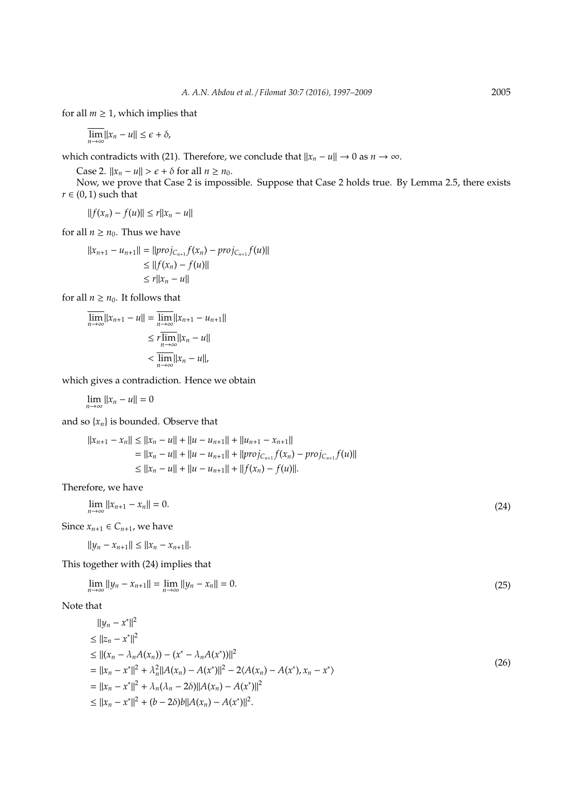for all  $m \geq 1$ , which implies that

 $\overline{\lim}_{n\to\infty}||x_n-u|| \leq \epsilon + \delta,$ 

which contradicts with (21). Therefore, we conclude that  $||x_n - u|| \to 0$  as  $n \to \infty$ .

Case 2.  $||x_n - u|| > \epsilon + \delta$  for all  $n \ge n_0$ .

Now, we prove that Case 2 is impossible. Suppose that Case 2 holds true. By Lemma 2.5, there exists  $r \in (0, 1)$  such that

 $||f(x_n) - f(u)|| \le r||x_n - u||$ 

for all  $n \geq n_0$ . Thus we have

$$
||x_{n+1} - u_{n+1}|| = ||proj_{C_{n+1}} f(x_n) - proj_{C_{n+1}} f(u)||
$$
  
\n
$$
\leq ||f(x_n) - f(u)||
$$
  
\n
$$
\leq r||x_n - u||
$$

for all  $n \geq n_0$ . It follows that

$$
\overline{\lim}_{n \to \infty} ||x_{n+1} - u|| = \overline{\lim}_{n \to \infty} ||x_{n+1} - u_{n+1}||
$$
  
\n
$$
\leq r \overline{\lim}_{n \to \infty} ||x_n - u||
$$
  
\n
$$
< \overline{\lim}_{n \to \infty} ||x_n - u||,
$$

which gives a contradiction. Hence we obtain

 $\lim_{n\to\infty}||x_n - u|| = 0$ 

and so  $\{x_n\}$  is bounded. Observe that

$$
||x_{n+1} - x_n|| \le ||x_n - u|| + ||u - u_{n+1}|| + ||u_{n+1} - x_{n+1}||
$$
  
=  $||x_n - u|| + ||u - u_{n+1}|| + ||proj_{C_{n+1}}f(x_n) - proj_{C_{n+1}}f(u)||$   
 $\le ||x_n - u|| + ||u - u_{n+1}|| + ||f(x_n) - f(u)||.$ 

Therefore, we have

$$
\lim_{n \to \infty} ||x_{n+1} - x_n|| = 0. \tag{24}
$$

Since  $x_{n+1} \in C_{n+1}$ , we have

$$
||y_n - x_{n+1}|| \le ||x_n - x_{n+1}||.
$$

This together with (24) implies that

$$
\lim_{n \to \infty} ||y_n - x_{n+1}|| = \lim_{n \to \infty} ||y_n - x_n|| = 0.
$$
\n(25)

Note that

$$
||y_n - x^*||^2
$$
  
\n
$$
\le ||z_n - x^*||^2
$$
  
\n
$$
\le ||(x_n - \lambda_n A(x_n)) - (x^* - \lambda_n A(x^*))||^2
$$
  
\n
$$
= ||x_n - x^*||^2 + \lambda_n^2 ||A(x_n) - A(x^*)||^2 - 2\langle A(x_n) - A(x^*) , x_n - x^* \rangle
$$
  
\n
$$
= ||x_n - x^*||^2 + \lambda_n (\lambda_n - 2\delta) ||A(x_n) - A(x^*)||^2
$$
  
\n
$$
\le ||x_n - x^*||^2 + (b - 2\delta) |A(x_n) - A(x^*)||^2.
$$
\n(26)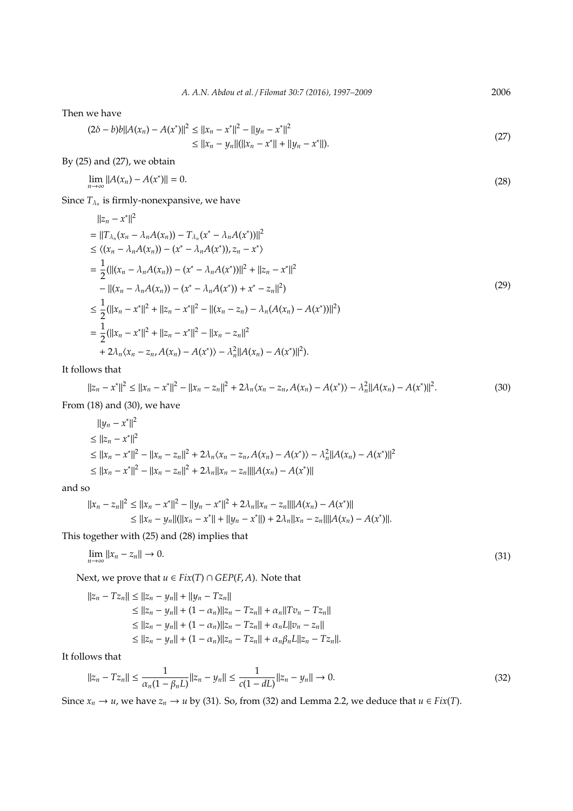Then we have

$$
(2\delta - b)b||A(x_n) - A(x^*)||^2 \le ||x_n - x^*||^2 - ||y_n - x^*||^2
$$
  
\n
$$
\le ||x_n - y_n||(||x_n - x^*|| + ||y_n - x^*||).
$$
\n(27)

By (25) and (27), we obtain

$$
\lim_{n \to \infty} ||A(x_n) - A(x^*)|| = 0.
$$
\n(28)

Since  $T_{\lambda_n}$  is firmly-nonexpansive, we have

$$
||z_n - x^*||^2
$$
  
\n
$$
= ||T_{\lambda_n}(x_n - \lambda_n A(x_n)) - T_{\lambda_n}(x^* - \lambda_n A(x^*))||^2
$$
  
\n
$$
\leq \langle (x_n - \lambda_n A(x_n)) - (x^* - \lambda_n A(x^*)), z_n - x^* \rangle
$$
  
\n
$$
= \frac{1}{2} (||(x_n - \lambda_n A(x_n)) - (x^* - \lambda_n A(x^*))||^2 + ||z_n - x^*||^2
$$
  
\n
$$
- ||(x_n - \lambda_n A(x_n)) - (x^* - \lambda_n A(x^*)) + x^* - z_n||^2)
$$
  
\n
$$
\leq \frac{1}{2} (||x_n - x^*||^2 + ||z_n - x^*||^2 - ||(x_n - z_n) - \lambda_n (A(x_n) - A(x^*))||^2)
$$
  
\n
$$
= \frac{1}{2} (||x_n - x^*||^2 + ||z_n - x^*||^2 - ||x_n - z_n||^2)
$$
  
\n
$$
+ 2\lambda_n \langle x_n - z_n, A(x_n) - A(x^*) \rangle - \lambda_n^2 ||A(x_n) - A(x^*)||^2).
$$
\n(29)

It follows that

$$
||z_n - x^*||^2 \le ||x_n - x^*||^2 - ||x_n - z_n||^2 + 2\lambda_n \langle x_n - z_n, A(x_n) - A(x^*) \rangle - \lambda_n^2 ||A(x_n) - A(x^*)||^2.
$$
\n(30)

\nFrom (18) and (30), we have

$$
||y_n - x^*||^2
$$
  
\n
$$
\le ||z_n - x^*||^2
$$
  
\n
$$
\le ||x_n - x^*||^2 - ||x_n - z_n||^2 + 2\lambda_n \langle x_n - z_n, A(x_n) - A(x^*) \rangle - \lambda_n^2 ||A(x_n) - A(x^*)||^2
$$
  
\n
$$
\le ||x_n - x^*||^2 - ||x_n - z_n||^2 + 2\lambda_n ||x_n - z_n|| ||A(x_n) - A(x^*)||
$$

and so

$$
||x_n - z_n||^2 \le ||x_n - x^*||^2 - ||y_n - x^*||^2 + 2\lambda_n ||x_n - z_n|| ||A(x_n) - A(x^*)||
$$
  
\n
$$
\le ||x_n - y_n|| (||x_n - x^*|| + ||y_n - x^*||) + 2\lambda_n ||x_n - z_n|| ||A(x_n) - A(x^*)||.
$$

This together with (25) and (28) implies that

$$
\lim_{n \to \infty} ||x_n - z_n|| \to 0. \tag{31}
$$

Next, we prove that  $u \in Fix(T) \cap GEP(F, A)$ . Note that

$$
||z_n - Tz_n|| \le ||z_n - y_n|| + ||y_n - Tz_n||
$$
  
\n
$$
\le ||z_n - y_n|| + (1 - \alpha_n) ||z_n - Tz_n|| + \alpha_n ||Tv_n - Tz_n||
$$
  
\n
$$
\le ||z_n - y_n|| + (1 - \alpha_n) ||z_n - Tz_n|| + \alpha_n L ||v_n - z_n||
$$
  
\n
$$
\le ||z_n - y_n|| + (1 - \alpha_n) ||z_n - Tz_n|| + \alpha_n \beta_n L ||z_n - Tz_n||.
$$

It follows that

$$
||z_n - Tz_n|| \le \frac{1}{\alpha_n (1 - \beta_n L)} ||z_n - y_n|| \le \frac{1}{c(1 - dL)} ||z_n - y_n|| \to 0.
$$
\n(32)

Since  $x_n \to u$ , we have  $z_n \to u$  by (31). So, from (32) and Lemma 2.2, we deduce that  $u \in Fix(T)$ .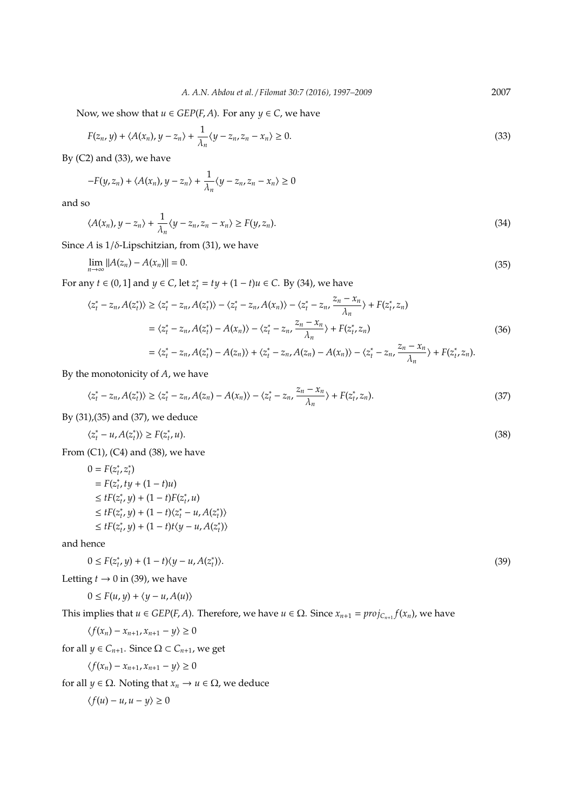Now, we show that  $u \in GEP(F, A)$ . For any  $y \in C$ , we have

$$
F(z_n, y) + \langle A(x_n), y - z_n \rangle + \frac{1}{\lambda_n} \langle y - z_n, z_n - x_n \rangle \ge 0.
$$
\n
$$
(33)
$$

By  $(C2)$  and  $(33)$ , we have

$$
-F(y,z_n)+\langle A(x_n),y-z_n\rangle+\frac{1}{\lambda_n}\langle y-z_n,z_n-x_n\rangle\geq 0
$$

and so

$$
\langle A(x_n), y - z_n \rangle + \frac{1}{\lambda_n} \langle y - z_n, z_n - x_n \rangle \ge F(y, z_n). \tag{34}
$$

Since  $A$  is  $1/\delta$ -Lipschitzian, from (31), we have

$$
\lim_{n \to \infty} ||A(z_n) - A(x_n)|| = 0.
$$
\n(35)

For any  $t \in (0, 1]$  and  $y \in C$ , let  $z_t^* = ty + (1 - t)u \in C$ . By (34), we have

$$
\langle z_t^* - z_n, A(z_t^*) \rangle \ge \langle z_t^* - z_n, A(z_t^*) \rangle - \langle z_t^* - z_n, A(x_n) \rangle - \langle z_t^* - z_n, \frac{z_n - x_n}{\lambda_n} \rangle + F(z_t^* z_n)
$$
  
\n
$$
= \langle z_t^* - z_n, A(z_t^*) - A(x_n) \rangle - \langle z_t^* - z_n, \frac{z_n - x_n}{\lambda_n} \rangle + F(z_t^* z_n)
$$
  
\n
$$
= \langle z_t^* - z_n, A(z_t^*) - A(z_n) \rangle + \langle z_t^* - z_n, A(z_n) - A(x_n) \rangle - \langle z_t^* - z_n, \frac{z_n - x_n}{\lambda_n} \rangle + F(z_t^* z_n).
$$
\n(36)

By the monotonicity of *A*, we have

$$
\langle z_t^* - z_n, A(z_t^*) \rangle \ge \langle z_t^* - z_n, A(z_n) - A(x_n) \rangle - \langle z_t^* - z_n, \frac{z_n - x_n}{\lambda_n} \rangle + F(z_t^*, z_n). \tag{37}
$$

By (31),(35) and (37), we deduce

$$
\langle z_t^* - u, A(z_t^*) \rangle \ge F(z_t^*, u). \tag{38}
$$

From  $(C1)$ ,  $(C4)$  and  $(38)$ , we have

$$
0 = F(z_t^*, z_t^*)
$$
  
=  $F(z_t^*, ty + (1 - t)u)$   
 $\leq tF(z_t^*, y) + (1 - t)F(z_t^*, u)$   
 $\leq tF(z_t^*, y) + (1 - t)\langle z_t^* - u, A(z_t^*) \rangle$   
 $\leq tF(z_t^*, y) + (1 - t)t\langle y - u, A(z_t^*) \rangle$ 

and hence

$$
0 \le F(z_t^*, y) + (1 - t)\langle y - u, A(z_t^*)\rangle.
$$
\n(39)

Letting  $t \to 0$  in (39), we have

$$
0 \leq F(u, y) + \langle y - u, A(u) \rangle
$$

This implies that  $u \in GEP(F, A)$ . Therefore, we have  $u \in \Omega$ . Since  $x_{n+1} = proj_{C_{n+1}}f(x_n)$ , we have

$$
\langle f(x_n) - x_{n+1}, x_{n+1} - y \rangle \ge 0
$$

for all  $y \in C_{n+1}$ . Since  $\Omega \subset C_{n+1}$ , we get

$$
\langle f(x_n) - x_{n+1}, x_{n+1} - y \rangle \ge 0
$$

for all *y*  $\in \Omega$ . Noting that  $x_n \to u \in \Omega$ , we deduce

$$
\langle f(u) - u, u - y \rangle \ge 0
$$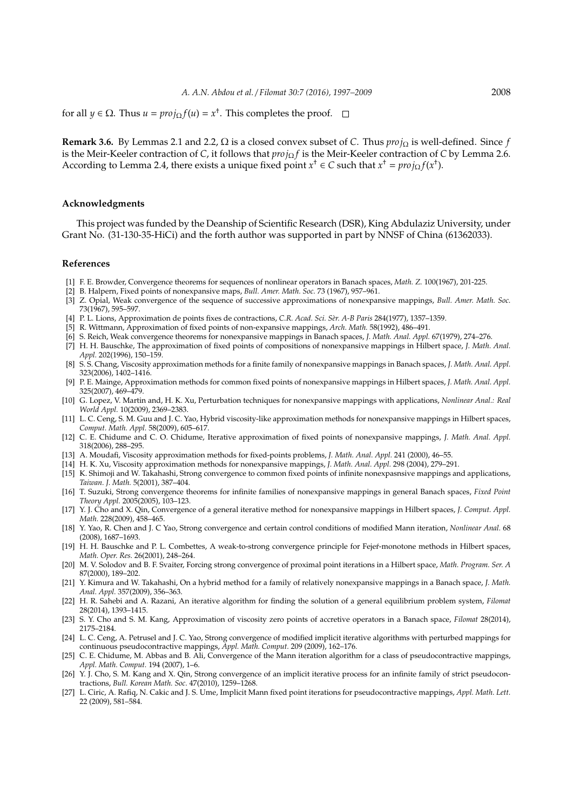## for all *y*  $\in \Omega$ . Thus *u* =  $proj_{\Omega} f(u) = x^{\dagger}$ . This completes the proof.

**Remark 3.6.** By Lemmas 2.1 and 2.2, Ω is a closed convex subset of *C*. Thus *proj*<sup>Ω</sup> is well-defined. Since *f* is the Meir-Keeler contraction of *C*, it follows that *proj*<sup>Ω</sup> *f* is the Meir-Keeler contraction of *C* by Lemma 2.6. According to Lemma 2.4, there exists a unique fixed point  $x^{\dagger} \in C$  such that  $x^{\dagger} = proj_{\Omega}f(x^{\dagger})$ .

#### **Acknowledgments**

This project was funded by the Deanship of Scientific Research (DSR), King Abdulaziz University, under Grant No. (31-130-35-HiCi) and the forth author was supported in part by NNSF of China (61362033).

#### **References**

- [1] F. E. Browder, Convergence theorems for sequences of nonlinear operators in Banach spaces, *Math. Z.* 100(1967), 201-225.
- [2] B. Halpern, Fixed points of nonexpansive maps, *Bull. Amer. Math. Soc.* 73 (1967), 957–961.
- [3] Z. Opial, Weak convergence of the sequence of successive approximations of nonexpansive mappings, *Bull. Amer. Math. Soc.* 73(1967), 595–597.
- [4] P. L. Lions, Approximation de points fixes de contractions, *C.R. Acad. Sci. S`er. A-B Paris* 284(1977), 1357–1359.
- [5] R. Wittmann, Approximation of fixed points of non-expansive mappings, *Arch. Math.* 58(1992), 486–491.
- [6] S. Reich, Weak convergence theorems for nonexpansive mappings in Banach spaces, *J. Math. Anal. Appl.* 67(1979), 274–276.
- [7] H. H. Bauschke, The approximation of fixed points of compositions of nonexpansive mappings in Hilbert space, *J. Math. Anal. Appl.* 202(1996), 150–159.
- [8] S. S. Chang, Viscosity approximation methods for a finite family of nonexpansive mappings in Banach spaces, *J. Math. Anal. Appl.* 323(2006), 1402–1416.
- [9] P. E. Mainge, Approximation methods for common fixed points of nonexpansive mappings in Hilbert spaces, *J. Math. Anal. Appl.* 325(2007), 469–479.
- [10] G. Lopez, V. Martin and, H. K. Xu, Perturbation techniques for nonexpansive mappings with applications, *Nonlinear Anal.: Real World Appl.* 10(2009), 2369–2383.
- [11] L. C. Ceng, S. M. Guu and J. C. Yao, Hybrid viscosity-like approximation methods for nonexpansive mappings in Hilbert spaces, *Comput. Math. Appl.* 58(2009), 605–617.
- [12] C. E. Chidume and C. O. Chidume, Iterative approximation of fixed points of nonexpansive mappings, *J. Math. Anal. Appl.* 318(2006), 288–295.
- [13] A. Moudafi, Viscosity approximation methods for fixed-points problems, *J. Math. Anal. Appl.* 241 (2000), 46–55.
- [14] H. K. Xu, Viscosity approximation methods for nonexpansive mappings, *J. Math. Anal. Appl.* 298 (2004), 279–291.
- [15] K. Shimoji and W. Takahashi, Strong convergence to common fixed points of infinite nonexpasnsive mappings and applications, *Taiwan. J. Math.* 5(2001), 387–404.
- [16] T. Suzuki, Strong convergence theorems for infinite families of nonexpansive mappings in general Banach spaces, *Fixed Point Theory Appl.* 2005(2005), 103–123.
- [17] Y. J. Cho and X. Qin, Convergence of a general iterative method for nonexpansive mappings in Hilbert spaces, *J. Comput. Appl. Math.* 228(2009), 458–465.
- [18] Y. Yao, R. Chen and J. C Yao, Strong convergence and certain control conditions of modified Mann iteration, *Nonlinear Anal.* 68 (2008), 1687–1693.
- [19] H. H. Bauschke and P. L. Combettes, A weak-to-strong convergence principle for Fejer-monotone methods in Hilbert spaces, *Math. Oper. Res.* 26(2001), 248–264.
- [20] M. V. Solodov and B. F. Svaiter, Forcing strong convergence of proximal point iterations in a Hilbert space, *Math. Program. Ser. A* 87(2000), 189–202.
- [21] Y. Kimura and W. Takahashi, On a hybrid method for a family of relatively nonexpansive mappings in a Banach space, *J. Math. Anal. Appl.* 357(2009), 356–363.
- [22] H. R. Sahebi and A. Razani, An iterative algorithm for finding the solution of a general equilibrium problem system, *Filomat* 28(2014), 1393–1415.
- [23] S. Y. Cho and S. M. Kang, Approximation of viscosity zero points of accretive operators in a Banach space, *Filomat* 28(2014), 2175–2184.
- [24] L. C. Ceng, A. Petrusel and J. C. Yao, Strong convergence of modified implicit iterative algorithms with perturbed mappings for continuous pseudocontractive mappings, *Appl. Math. Comput.* 209 (2009), 162–176.
- [25] C. E. Chidume, M. Abbas and B. Ali, Convergence of the Mann iteration algorithm for a class of pseudocontractive mappings, *Appl. Math. Comput.* 194 (2007), 1–6.
- [26] Y. J. Cho, S. M. Kang and X. Qin, Strong convergence of an implicit iterative process for an infinite family of strict pseudocontractions, *Bull. Korean Math. Soc.* 47(2010), 1259–1268.
- [27] L. Ciric, A. Rafiq, N. Cakic and J. S. Ume, Implicit Mann fixed point iterations for pseudocontractive mappings, *Appl. Math. Lett.* 22 (2009), 581–584.